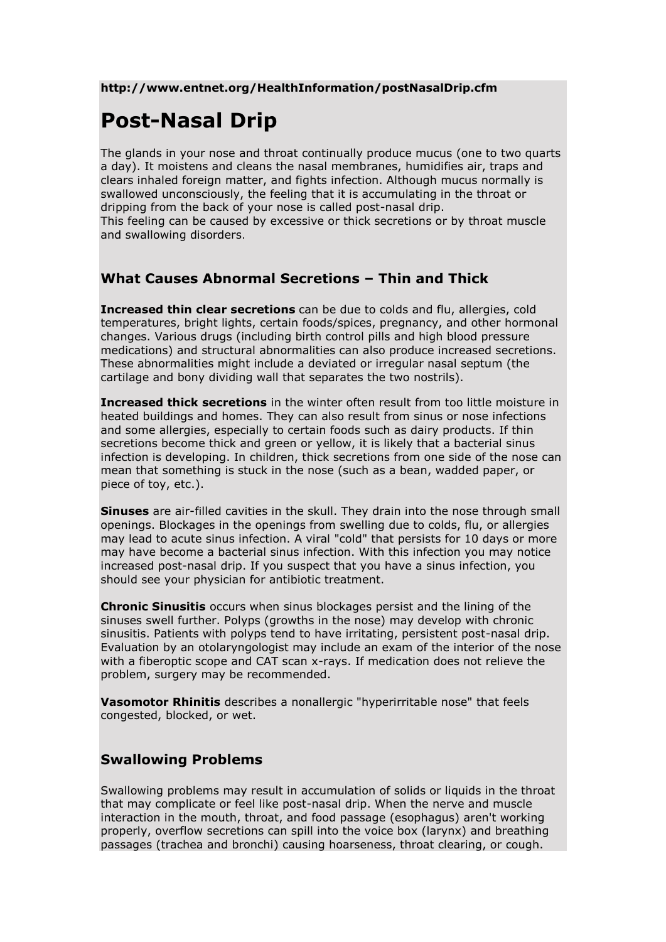### **http://www.entnet.org/HealthInformation/postNasalDrip.cfm**

# **Post-Nasal Drip**

The glands in your nose and throat continually produce mucus (one to two quarts a day). It moistens and cleans the nasal membranes, humidifies air, traps and clears inhaled foreign matter, and fights infection. Although mucus normally is swallowed unconsciously, the feeling that it is accumulating in the throat or dripping from the back of your nose is called post-nasal drip. This feeling can be caused by excessive or thick secretions or by throat muscle and swallowing disorders.

# **What Causes Abnormal Secretions – Thin and Thick**

**Increased thin clear secretions** can be due to colds and flu, allergies, cold temperatures, bright lights, certain foods/spices, pregnancy, and other hormonal changes. Various drugs (including birth control pills and high blood pressure medications) and structural abnormalities can also produce increased secretions. These abnormalities might include a deviated or irregular nasal septum (the cartilage and bony dividing wall that separates the two nostrils).

**Increased thick secretions** in the winter often result from too little moisture in heated buildings and homes. They can also result from sinus or nose infections and some allergies, especially to certain foods such as dairy products. If thin secretions become thick and green or yellow, it is likely that a bacterial sinus infection is developing. In children, thick secretions from one side of the nose can mean that something is stuck in the nose (such as a bean, wadded paper, or piece of toy, etc.).

**Sinuses** are air-filled cavities in the skull. They drain into the nose through small openings. Blockages in the openings from swelling due to colds, flu, or allergies may lead to acute sinus infection. A viral "cold" that persists for 10 days or more may have become a bacterial sinus infection. With this infection you may notice increased post-nasal drip. If you suspect that you have a sinus infection, you should see your physician for antibiotic treatment.

**Chronic Sinusitis** occurs when sinus blockages persist and the lining of the sinuses swell further. Polyps (growths in the nose) may develop with chronic sinusitis. Patients with polyps tend to have irritating, persistent post-nasal drip. Evaluation by an otolaryngologist may include an exam of the interior of the nose with a fiberoptic scope and CAT scan x-rays. If medication does not relieve the problem, surgery may be recommended.

**Vasomotor Rhinitis** describes a nonallergic "hyperirritable nose" that feels congested, blocked, or wet.

## **Swallowing Problems**

Swallowing problems may result in accumulation of solids or liquids in the throat that may complicate or feel like post-nasal drip. When the nerve and muscle interaction in the mouth, throat, and food passage (esophagus) aren't working properly, overflow secretions can spill into the voice box (larynx) and breathing passages (trachea and bronchi) causing hoarseness, throat clearing, or cough.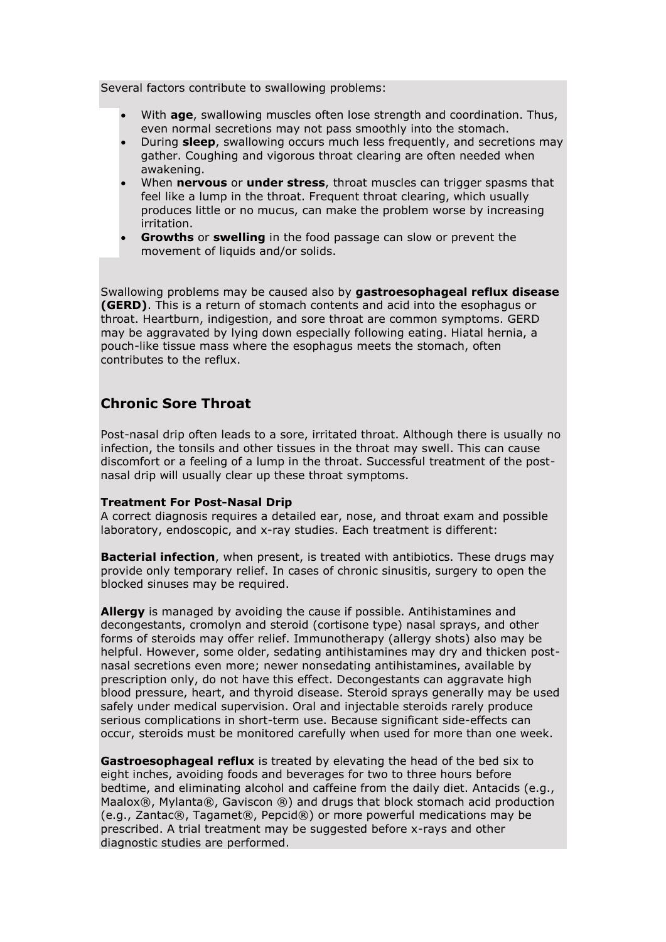Several factors contribute to swallowing problems:

- With **age**, swallowing muscles often lose strength and coordination. Thus, even normal secretions may not pass smoothly into the stomach.
- During **sleep**, swallowing occurs much less frequently, and secretions may gather. Coughing and vigorous throat clearing are often needed when awakening.
- When **nervous** or **under stress**, throat muscles can trigger spasms that feel like a lump in the throat. Frequent throat clearing, which usually produces little or no mucus, can make the problem worse by increasing irritation.
- **Growths** or **swelling** in the food passage can slow or prevent the movement of liquids and/or solids.

Swallowing problems may be caused also by **gastroesophageal reflux disease (GERD)**. This is a return of stomach contents and acid into the esophagus or throat. Heartburn, indigestion, and sore throat are common symptoms. GERD may be aggravated by lying down especially following eating. Hiatal hernia, a pouch-like tissue mass where the esophagus meets the stomach, often contributes to the reflux.

## **Chronic Sore Throat**

Post-nasal drip often leads to a sore, irritated throat. Although there is usually no infection, the tonsils and other tissues in the throat may swell. This can cause discomfort or a feeling of a lump in the throat. Successful treatment of the postnasal drip will usually clear up these throat symptoms.

#### **Treatment For Post-Nasal Drip**

A correct diagnosis requires a detailed ear, nose, and throat exam and possible laboratory, endoscopic, and x-ray studies. Each treatment is different:

**Bacterial infection**, when present, is treated with antibiotics. These drugs may provide only temporary relief. In cases of chronic sinusitis, surgery to open the blocked sinuses may be required.

**Allergy** is managed by avoiding the cause if possible. Antihistamines and decongestants, cromolyn and steroid (cortisone type) nasal sprays, and other forms of steroids may offer relief. Immunotherapy (allergy shots) also may be helpful. However, some older, sedating antihistamines may dry and thicken postnasal secretions even more; newer nonsedating antihistamines, available by prescription only, do not have this effect. Decongestants can aggravate high blood pressure, heart, and thyroid disease. Steroid sprays generally may be used safely under medical supervision. Oral and injectable steroids rarely produce serious complications in short-term use. Because significant side-effects can occur, steroids must be monitored carefully when used for more than one week.

**Gastroesophageal reflux** is treated by elevating the head of the bed six to eight inches, avoiding foods and beverages for two to three hours before bedtime, and eliminating alcohol and caffeine from the daily diet. Antacids (e.g., Maalox®, Mylanta®, Gaviscon ®) and drugs that block stomach acid production (e.g., Zantac®, Tagamet®, Pepcid®) or more powerful medications may be prescribed. A trial treatment may be suggested before x-rays and other diagnostic studies are performed.